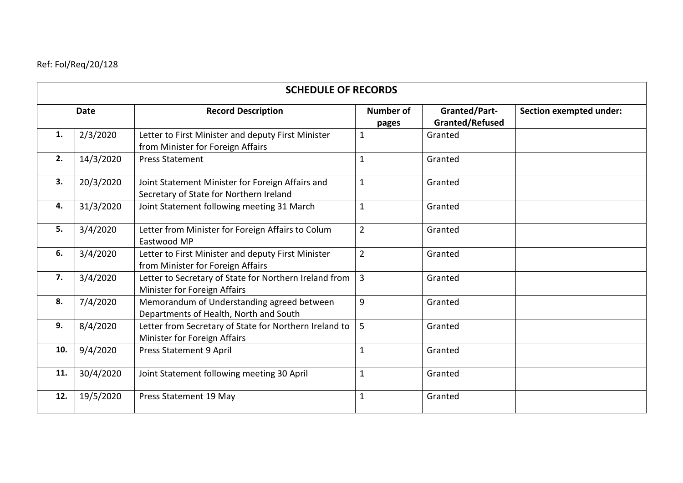## Ref: FoI/Req/20/128

| <b>SCHEDULE OF RECORDS</b> |           |                                                                                             |                           |                                         |                         |  |  |  |
|----------------------------|-----------|---------------------------------------------------------------------------------------------|---------------------------|-----------------------------------------|-------------------------|--|--|--|
| <b>Date</b>                |           | <b>Record Description</b>                                                                   | <b>Number of</b><br>pages | <b>Granted/Part-</b><br>Granted/Refused | Section exempted under: |  |  |  |
| 1.                         | 2/3/2020  | Letter to First Minister and deputy First Minister<br>from Minister for Foreign Affairs     | $\mathbf{1}$              | Granted                                 |                         |  |  |  |
| 2.                         | 14/3/2020 | <b>Press Statement</b>                                                                      | $\mathbf{1}$              | Granted                                 |                         |  |  |  |
| 3.                         | 20/3/2020 | Joint Statement Minister for Foreign Affairs and<br>Secretary of State for Northern Ireland | $\mathbf{1}$              | Granted                                 |                         |  |  |  |
| 4.                         | 31/3/2020 | Joint Statement following meeting 31 March                                                  | $\mathbf{1}$              | Granted                                 |                         |  |  |  |
| 5.                         | 3/4/2020  | Letter from Minister for Foreign Affairs to Colum<br>Eastwood MP                            | $\overline{2}$            | Granted                                 |                         |  |  |  |
| 6.                         | 3/4/2020  | Letter to First Minister and deputy First Minister<br>from Minister for Foreign Affairs     | $\overline{2}$            | Granted                                 |                         |  |  |  |
| 7.                         | 3/4/2020  | Letter to Secretary of State for Northern Ireland from<br>Minister for Foreign Affairs      | 3                         | Granted                                 |                         |  |  |  |
| 8.                         | 7/4/2020  | Memorandum of Understanding agreed between<br>Departments of Health, North and South        | 9                         | Granted                                 |                         |  |  |  |
| 9.                         | 8/4/2020  | Letter from Secretary of State for Northern Ireland to<br>Minister for Foreign Affairs      | 5                         | Granted                                 |                         |  |  |  |
| 10.                        | 9/4/2020  | <b>Press Statement 9 April</b>                                                              | $\mathbf{1}$              | Granted                                 |                         |  |  |  |
| 11.                        | 30/4/2020 | Joint Statement following meeting 30 April                                                  | $\mathbf{1}$              | Granted                                 |                         |  |  |  |
| 12.                        | 19/5/2020 | Press Statement 19 May                                                                      | $\mathbf{1}$              | Granted                                 |                         |  |  |  |